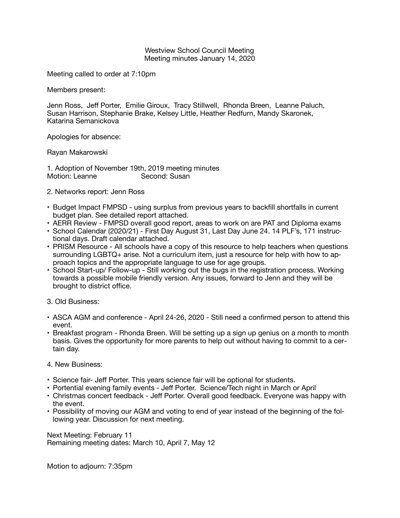## Westview School Council Meeting Meeting minutes January 14, 2020

Meeting called to order at 7:10pm

Members present:

Jenn Ross, Jeff Porter, Emilie Giroux, Tracy Stillwell, Rhonda Breen, Leanne Paluch, Susan Harrison, Stephanie Brake, Kelsey Little, Heather Redfurn, Mandy Skaronek, Katarina Semanickova

Apologies for absence:

Rayan Makarowski

1. Adoption of November 19th, 2019 meeting minutes Motion: Leanne **Second: Susan** 

- 2. Networks report: Jenn Ross
- Budget Impact FMPSD using surplus from previous years to backfill shortfalls in current budget plan. See detailed report attached.
- AERR Review FMPSD overall good report, areas to work on are PAT and Diploma exams
- School Calendar (2020/21) First Day August 31, Last Day June 24. 14 PLF's, 171 instructional days. Draft calendar attached.
- PRISM Resource All schools have a copy of this resource to help teachers when questions surrounding LGBTQ+ arise. Not a curriculum item, just a resource for help with how to approach topics and the appropriate language to use for age groups.
- School Start-up/ Follow-up Still working out the bugs in the registration process. Working towards a possible mobile friendly version. Any issues, forward to Jenn and they will be brought to district office.
- 3. Old Business:
- ASCA AGM and conference April 24-26, 2020 Still need a confirmed person to attend this event.
- Breakfast program Rhonda Breen. Will be setting up a sign up genius on a month to month basis. Gives the opportunity for more parents to help out without having to commit to a certain day.
- 4. New Business:
- Science fair- Jeff Porter. This years science fair will be optional for students.
- Portential evening family events Jeff Porter. Science/Tech night in March or April
- Christmas concert feedback Jeff Porter. Overall good feedback. Everyone was happy with the event.
- Possibility of moving our AGM and voting to end of year instead of the beginning of the following year. Discussion for next meeting.

Next Meeting: February 11 Remaining meeting dates: March 10, April 7, May 12

Motion to adjourn: 7:35pm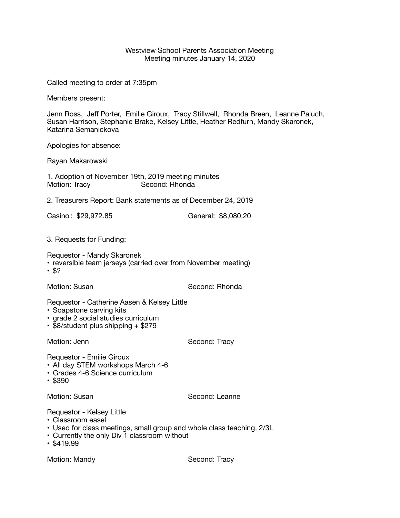## Westview School Parents Association Meeting Meeting minutes January 14, 2020

Called meeting to order at 7:35pm

Members present:

Jenn Ross, Jeff Porter, Emilie Giroux, Tracy Stillwell, Rhonda Breen, Leanne Paluch, Susan Harrison, Stephanie Brake, Kelsey Little, Heather Redfurn, Mandy Skaronek, Katarina Semanickova

Apologies for absence:

Rayan Makarowski

1. Adoption of November 19th, 2019 meeting minutes Second: Rhonda

2. Treasurers Report: Bank statements as of December 24, 2019

Casino : \$29,972.85 General: \$8,080.20 

3. Requests for Funding:

Requestor - Mandy Skaronek

- reversible team jerseys (carried over from November meeting)
- $$?$

Motion: Susan **Motion:** Second: Rhonda

Requestor - Catherine Aasen & Kelsey Little

- Soapstone carving kits
- grade 2 social studies curriculum
- \$8/student plus shipping + \$279

Motion: Jenn **Base Condense Condense Condense Condense Condense Condense Condense Condense Condense Condense Condense Condense Condense Condense Condense Condense Condense Condense Condense Condense Condense Condense Conde** 

Requestor - Emilie Giroux

- All day STEM workshops March 4-6
- Grades 4-6 Science curriculum
- \$390

Motion: Susan Second: Leanne

Requestor - Kelsey Little

- Classroom easel
- Used for class meetings, small group and whole class teaching. 2/3L
- Currently the only Div 1 classroom without
- $$419.99$

Motion: Mandy **Canadian Control** Second: Tracy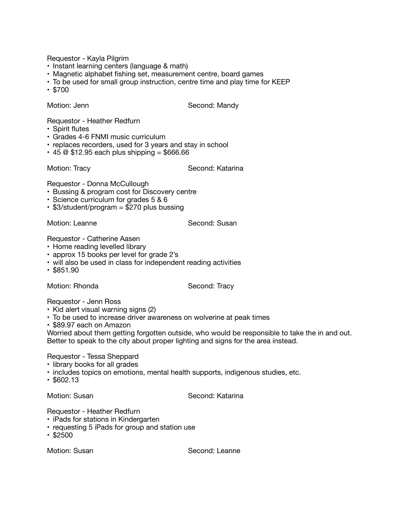Requestor - Kayla Pilgrim

- Instant learning centers (language & math)
- Magnetic alphabet fishing set, measurement centre, board games
- To be used for small group instruction, centre time and play time for KEEP
- \$700

Motion: Jenn **Bandy Condense Condense Condense Condense Condense Condense Condense Condense Condense Condense Condense Condense Condense Condense Condense Condense Condense Condense Condense Condense Condense Condense Co** 

Requestor - Heather Redfurn

- Spirit flutes
- Grades 4-6 FNMI music curriculum
- replaces recorders, used for 3 years and stay in school
- $\cdot$  45 @ \$12.95 each plus shipping = \$666.66

Motion: Tracy **Music Communist Communist Communist Communist Communist Communist Communist Communist Communist Communist Communist Communist Communist Communist Communist Communist Communist Communist Communist Communist C** 

Requestor - Donna McCullough

- Bussing & program cost for Discovery centre
- Science curriculum for grades 5 & 6
- \$3/student/program = \$270 plus bussing

Motion: Leanne **Canadian Communist Communist Communist Communist Communist Communist Communist Communist Communist Communist Communist Communist Communist Communist Communist Communist Communist Communist Communist Communi** 

Requestor - Catherine Aasen

- Home reading levelled library
- approx 15 books per level for grade 2's
- will also be used in class for independent reading activities
- \$851.90

Motion: Rhonda Second: Tracy

Requestor - Jenn Ross

- Kid alert visual warning signs (2)
- To be used to increase driver awareness on wolverine at peak times
- \$89.97 each on Amazon

Worried about them getting forgotten outside, who would be responsible to take the in and out. Better to speak to the city about proper lighting and signs for the area instead.

## Requestor - Tessa Sheppard

- library books for all grades
- includes topics on emotions, mental health supports, indigenous studies, etc.
- \$602.13

Motion: Susan Second: Katarina

Requestor - Heather Redfurn

- iPads for stations in Kindergarten
- requesting 5 iPads for group and station use
- \$2500

Motion: Susan **Calculation: Second: Leanne**